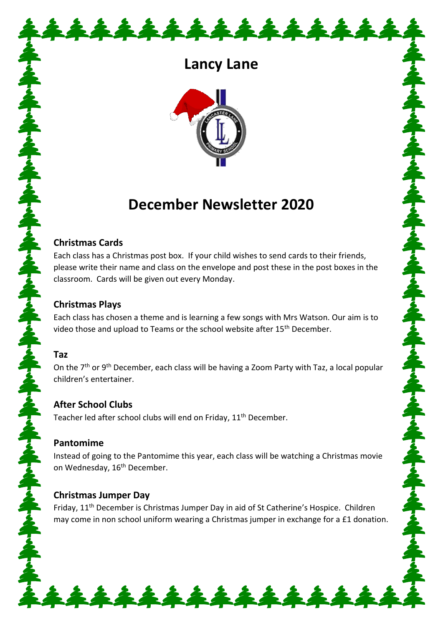# **Lancy Lane**

\*\*\*\*\*\*\*\*\*\*\*\*\*



# **December Newsletter 2020**

#### **Christmas Cards**

Each class has a Christmas post box. If your child wishes to send cards to their friends, please write their name and class on the envelope and post these in the post boxes in the classroom. Cards will be given out every Monday.

するべすらべする ふするべする ふする

ネナミキ

#### **Christmas Plays**

Each class has chosen a theme and is learning a few songs with Mrs Watson. Our aim is to video those and upload to Teams or the school website after 15<sup>th</sup> December.

#### **Taz**

On the  $7<sup>th</sup>$  or 9<sup>th</sup> December, each class will be having a Zoom Party with Taz, a local popular children's entertainer.

#### **After School Clubs**

Teacher led after school clubs will end on Friday, 11<sup>th</sup> December.

# **Pantomime**

Instead of going to the Pantomime this year, each class will be watching a Christmas movie on Wednesday, 16<sup>th</sup> December.

# **Christmas Jumper Day**

Friday, 11<sup>th</sup> December is Christmas Jumper Day in aid of St Catherine's Hospice. Children may come in non school uniform wearing a Christmas jumper in exchange for a £1 donation.

\*\*\*\*\*\*\*\*\*\*